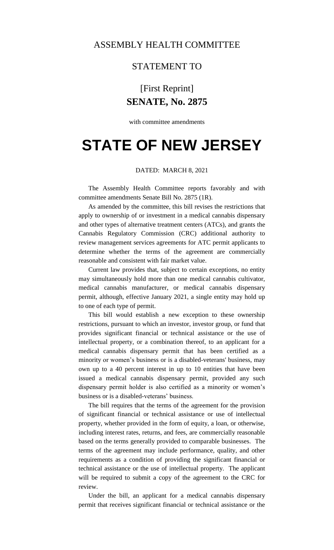## ASSEMBLY HEALTH COMMITTEE

### STATEMENT TO

# [First Reprint] **SENATE, No. 2875**

with committee amendments

# **STATE OF NEW JERSEY**

#### DATED: MARCH 8, 2021

The Assembly Health Committee reports favorably and with committee amendments Senate Bill No. 2875 (1R).

As amended by the committee, this bill revises the restrictions that apply to ownership of or investment in a medical cannabis dispensary and other types of alternative treatment centers (ATCs), and grants the Cannabis Regulatory Commission (CRC) additional authority to review management services agreements for ATC permit applicants to determine whether the terms of the agreement are commercially reasonable and consistent with fair market value.

Current law provides that, subject to certain exceptions, no entity may simultaneously hold more than one medical cannabis cultivator, medical cannabis manufacturer, or medical cannabis dispensary permit, although, effective January 2021, a single entity may hold up to one of each type of permit.

This bill would establish a new exception to these ownership restrictions, pursuant to which an investor, investor group, or fund that provides significant financial or technical assistance or the use of intellectual property, or a combination thereof, to an applicant for a medical cannabis dispensary permit that has been certified as a minority or women's business or is a disabled-veterans' business, may own up to a 40 percent interest in up to 10 entities that have been issued a medical cannabis dispensary permit, provided any such dispensary permit holder is also certified as a minority or women's business or is a disabled-veterans' business.

The bill requires that the terms of the agreement for the provision of significant financial or technical assistance or use of intellectual property, whether provided in the form of equity, a loan, or otherwise, including interest rates, returns, and fees, are commercially reasonable based on the terms generally provided to comparable businesses. The terms of the agreement may include performance, quality, and other requirements as a condition of providing the significant financial or technical assistance or the use of intellectual property. The applicant will be required to submit a copy of the agreement to the CRC for review.

Under the bill, an applicant for a medical cannabis dispensary permit that receives significant financial or technical assistance or the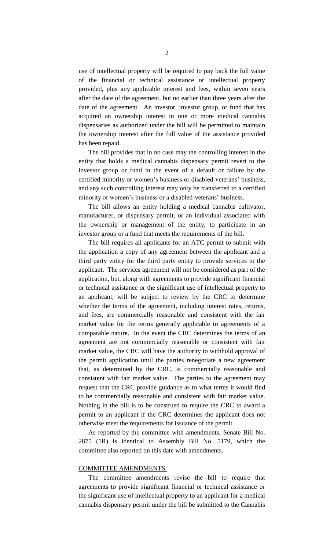use of intellectual property will be required to pay back the full value of the financial or technical assistance or intellectual property provided, plus any applicable interest and fees, within seven years after the date of the agreement, but no earlier than three years after the date of the agreement. An investor, investor group, or fund that has acquired an ownership interest in one or more medical cannabis dispensaries as authorized under the bill will be permitted to maintain the ownership interest after the full value of the assistance provided has been repaid.

The bill provides that in no case may the controlling interest in the entity that holds a medical cannabis dispensary permit revert to the investor group or fund in the event of a default or failure by the certified minority or women's business or disabled-veterans' business, and any such controlling interest may only be transferred to a certified minority or women's business or a disabled-veterans' business.

The bill allows an entity holding a medical cannabis cultivator, manufacturer, or dispensary permit, or an individual associated with the ownership or management of the entity, to participate in an investor group or a fund that meets the requirements of the bill.

The bill requires all applicants for an ATC permit to submit with the application a copy of any agreement between the applicant and a third party entity for the third party entity to provide services to the applicant. The services agreement will not be considered as part of the application, but, along with agreements to provide significant financial or technical assistance or the significant use of intellectual property to an applicant, will be subject to review by the CRC to determine whether the terms of the agreement, including interest rates, returns, and fees, are commercially reasonable and consistent with the fair market value for the terms generally applicable to agreements of a comparable nature. In the event the CRC determines the terms of an agreement are not commercially reasonable or consistent with fair market value, the CRC will have the authority to withhold approval of the permit application until the parties renegotiate a new agreement that, as determined by the CRC, is commercially reasonable and consistent with fair market value. The parties to the agreement may request that the CRC provide guidance as to what terms it would find to be commercially reasonable and consistent with fair market value. Nothing in the bill is to be construed to require the CRC to award a permit to an applicant if the CRC determines the applicant does not otherwise meet the requirements for issuance of the permit.

As reported by the committee with amendments, Senate Bill No. 2875 (1R) is identical to Assembly Bill No. 5179, which the committee also reported on this date with amendments.

### COMMITTEE AMENDMENTS:

The committee amendments revise the bill to require that agreements to provide significant financial or technical assistance or the significant use of intellectual property to an applicant for a medical cannabis dispensary permit under the bill be submitted to the Cannabis